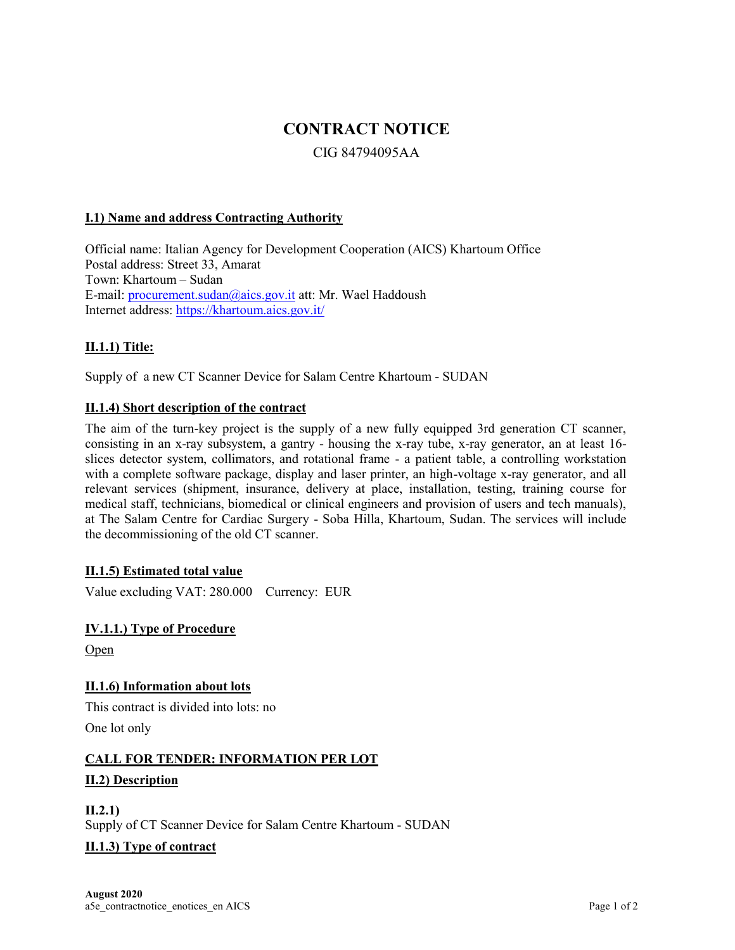# **CONTRACT NOTICE**

# CIG 84794095AA

#### **I.1) Name and address Contracting Authority**

Official name: Italian Agency for Development Cooperation (AICS) Khartoum Office Postal address: Street 33, Amarat Town: Khartoum – Sudan E-mail: [procurement.sudan@aics.gov.it](mailto:procurement.sudan@aics.gov.it) att: Mr. Wael Haddoush Internet address:<https://khartoum.aics.gov.it/>

# **II.1.1) Title:**

Supply of a new CT Scanner Device for Salam Centre Khartoum - SUDAN

#### **II.1.4) Short description of the contract**

The aim of the turn-key project is the supply of a new fully equipped 3rd generation CT scanner, consisting in an x-ray subsystem, a gantry - housing the x-ray tube, x-ray generator, an at least 16 slices detector system, collimators, and rotational frame - a patient table, a controlling workstation with a complete software package, display and laser printer, an high-voltage x-ray generator, and all relevant services (shipment, insurance, delivery at place, installation, testing, training course for medical staff, technicians, biomedical or clinical engineers and provision of users and tech manuals), at The Salam Centre for Cardiac Surgery - Soba Hilla, Khartoum, Sudan. The services will include the decommissioning of the old CT scanner.

#### **II.1.5) Estimated total value**

Value excluding VAT: 280.000 Currency: EUR

# **IV.1.1.) Type of Procedure**

Open

# **II.1.6) Information about lots**

This contract is divided into lots: no One lot only

# **CALL FOR TENDER: INFORMATION PER LOT**

#### **II.2) Description**

**II.2.1)** Supply of CT Scanner Device for Salam Centre Khartoum - SUDAN

#### **II.1.3) Type of contract**